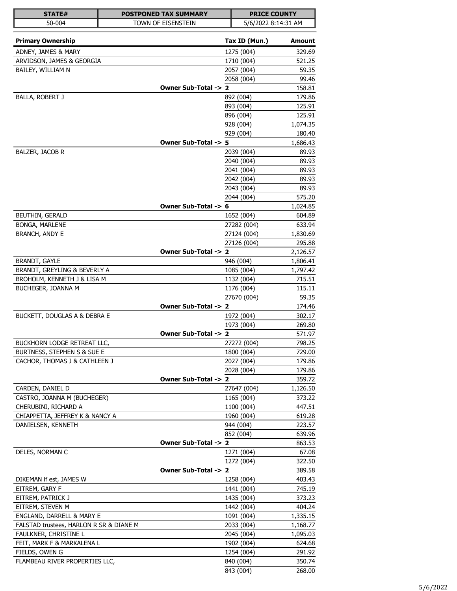| STATE#                                  | <b>POSTPONED TAX SUMMARY</b> |               | <b>PRICE COUNTY</b> |
|-----------------------------------------|------------------------------|---------------|---------------------|
| 50-004                                  | TOWN OF EISENSTEIN           |               | 5/6/2022 8:14:31 AM |
|                                         |                              |               |                     |
| <b>Primary Ownership</b>                |                              | Tax ID (Mun.) | <b>Amount</b>       |
| ADNEY, JAMES & MARY                     |                              | 1275 (004)    | 329.69              |
| ARVIDSON, JAMES & GEORGIA               |                              | 1710 (004)    | 521.25              |
| BAILEY, WILLIAM N                       |                              | 2057 (004)    | 59.35               |
|                                         |                              | 2058 (004)    | 99.46               |
|                                         | Owner Sub-Total -> 2         |               | 158.81              |
| <b>BALLA, ROBERT J</b>                  |                              | 892 (004)     | 179.86              |
|                                         |                              | 893 (004)     | 125.91              |
|                                         |                              | 896 (004)     | 125.91              |
|                                         |                              | 928 (004)     | 1,074.35            |
|                                         |                              | 929 (004)     | 180.40              |
|                                         | Owner Sub-Total -> 5         |               | 1,686.43            |
| BALZER, JACOB R                         |                              | 2039 (004)    | 89.93               |
|                                         |                              | 2040 (004)    | 89.93               |
|                                         |                              | 2041 (004)    | 89.93               |
|                                         |                              | 2042 (004)    | 89.93               |
|                                         |                              | 2043 (004)    | 89.93               |
|                                         |                              | 2044 (004)    | 575.20              |
|                                         | Owner Sub-Total -> 6         |               | 1,024.85            |
| BEUTHIN, GERALD                         |                              | 1652 (004)    | 604.89              |
| BONGA, MARLENE                          |                              | 27282 (004)   | 633.94              |
| <b>BRANCH, ANDY E</b>                   |                              | 27124 (004)   | 1,830.69            |
|                                         |                              | 27126 (004)   | 295.88              |
|                                         | Owner Sub-Total -> 2         |               | 2,126.57            |
| <b>BRANDT, GAYLE</b>                    |                              | 946 (004)     | 1,806.41            |
| BRANDT, GREYLING & BEVERLY A            |                              | 1085 (004)    | 1,797.42            |
| BROHOLM, KENNETH J & LISA M             |                              | 1132 (004)    | 715.51              |
| BUCHEGER, JOANNA M                      |                              | 1176 (004)    | 115.11              |
|                                         |                              | 27670 (004)   | 59.35               |
|                                         | Owner Sub-Total -> 2         |               | 174.46              |
| BUCKETT, DOUGLAS A & DEBRA E            |                              | 1972 (004)    | 302.17              |
|                                         |                              | 1973 (004)    | 269.80              |
|                                         | Owner Sub-Total -> 2         |               | 571.97              |
| BUCKHORN LODGE RETREAT LLC,             |                              | 27272 (004)   | 798.25              |
| BURTNESS, STEPHEN S & SUE E             |                              | 1800 (004)    | 729.00              |
| CACHOR, THOMAS J & CATHLEEN J           |                              | 2027 (004)    | 179.86              |
|                                         |                              | 2028 (004)    | 179.86              |
|                                         | Owner Sub-Total -> 2         |               | 359.72              |
| CARDEN, DANIEL D                        |                              | 27647 (004)   | 1,126.50            |
| CASTRO, JOANNA M (BUCHEGER)             |                              | 1165 (004)    | 373.22              |
| CHERUBINI, RICHARD A                    |                              | 1100 (004)    | 447.51              |
| CHIAPPETTA, JEFFREY K & NANCY A         |                              | 1960 (004)    | 619.28              |
| DANIELSEN, KENNETH                      |                              | 944 (004)     | 223.57              |
|                                         |                              | 852 (004)     | 639.96              |
|                                         | Owner Sub-Total -> 2         |               | 863.53              |
| DELES, NORMAN C                         |                              | 1271 (004)    | 67.08               |
|                                         |                              | 1272 (004)    | 322.50              |
|                                         | Owner Sub-Total -> 2         |               | 389.58              |
| DIKEMAN If est, JAMES W                 |                              | 1258 (004)    | 403.43              |
| EITREM, GARY F                          |                              | 1441 (004)    | 745.19              |
| EITREM, PATRICK J                       |                              | 1435 (004)    | 373.23              |
| EITREM, STEVEN M                        |                              | 1442 (004)    | 404.24              |
| ENGLAND, DARRELL & MARY E               |                              | 1091 (004)    | 1,335.15            |
| FALSTAD trustees, HARLON R SR & DIANE M |                              | 2033 (004)    | 1,168.77            |
| FAULKNER, CHRISTINE L                   |                              | 2045 (004)    | 1,095.03            |
| FEIT, MARK F & MARKALENA L              |                              | 1902 (004)    | 624.68              |
| FIELDS, OWEN G                          |                              | 1254 (004)    | 291.92              |
| FLAMBEAU RIVER PROPERTIES LLC,          |                              | 840 (004)     | 350.74              |
|                                         |                              | 843 (004)     | 268.00              |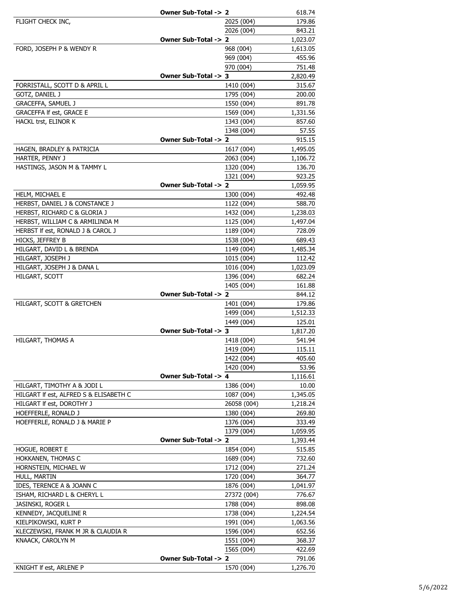|                                                         | Owner Sub-Total -> 2 |                          | 618.74             |
|---------------------------------------------------------|----------------------|--------------------------|--------------------|
| FLIGHT CHECK INC,                                       |                      | 2025 (004)               | 179.86             |
|                                                         |                      | 2026 (004)               | 843.21             |
|                                                         | Owner Sub-Total -> 2 |                          | 1,023.07           |
| FORD, JOSEPH P & WENDY R                                |                      | 968 (004)                | 1,613.05           |
|                                                         |                      | 969 (004)                | 455.96             |
|                                                         |                      | 970 (004)                | 751.48             |
|                                                         | Owner Sub-Total -> 3 |                          | 2,820.49           |
| FORRISTALL, SCOTT D & APRIL L                           |                      | 1410 (004)               | 315.67             |
| GOTZ, DANIEL J                                          |                      | 1795 (004)               | 200.00             |
| GRACEFFA, SAMUEL J                                      |                      | 1550 (004)               | 891.78             |
| <b>GRACEFFA If est, GRACE E</b>                         |                      | 1569 (004)               | 1,331.56           |
| HACKL trst, ELINOR K                                    |                      | 1343 (004)               | 857.60             |
|                                                         |                      | 1348 (004)               | 57.55              |
|                                                         | Owner Sub-Total -> 2 |                          | 915.15             |
| HAGEN, BRADLEY & PATRICIA                               |                      | 1617 (004)               | 1,495.05           |
| HARTER, PENNY J                                         |                      | 2063 (004)               | 1,106.72           |
| HASTINGS, JASON M & TAMMY L                             |                      | 1320 (004)               | 136.70             |
|                                                         |                      | 1321 (004)               | 923.25             |
|                                                         | Owner Sub-Total -> 2 |                          | 1,059.95           |
| HELM, MICHAEL E                                         |                      | 1300 (004)               | 492.48             |
| HERBST, DANIEL J & CONSTANCE J                          |                      | 1122 (004)               | 588.70             |
| HERBST, RICHARD C & GLORIA J                            |                      | 1432 (004)               | 1,238.03           |
| HERBST, WILLIAM C & ARMILINDA M                         |                      | 1125 (004)               | 1,497.04           |
| HERBST If est, RONALD J & CAROL J                       |                      | 1189 (004)               | 728.09             |
| HICKS, JEFFREY B                                        |                      | 1538 (004)               | 689.43             |
| HILGART, DAVID L & BRENDA                               |                      | 1149 (004)<br>1015 (004) | 1,485.34<br>112.42 |
| HILGART, JOSEPH J                                       |                      | 1016 (004)               |                    |
| HILGART, JOSEPH J & DANA L<br>HILGART, SCOTT            |                      | 1396 (004)               | 1,023.09<br>682.24 |
|                                                         |                      | 1405 (004)               | 161.88             |
|                                                         | Owner Sub-Total -> 2 |                          | 844.12             |
| HILGART, SCOTT & GRETCHEN                               |                      | 1401 (004)               | 179.86             |
|                                                         |                      | 1499 (004)               | 1,512.33           |
|                                                         |                      | 1449 (004)               | 125.01             |
|                                                         | Owner Sub-Total -> 3 |                          | 1,817.20           |
| HILGART, THOMAS A                                       |                      | 1418 (004)               | 541.94             |
|                                                         |                      | 1419 (004)               | 115.11             |
|                                                         |                      | 1422 (004)               | 405.60             |
|                                                         |                      | 1420 (004)               | 53.96              |
|                                                         | Owner Sub-Total -> 4 |                          | 1,116.61           |
| HILGART, TIMOTHY A & JODI L                             |                      | 1386 (004)               | 10.00              |
| HILGART If est, ALFRED S & ELISABETH C                  |                      | 1087 (004)               | 1,345.05           |
| HILGART If est, DOROTHY J                               |                      | 26058 (004)              | 1,218.24           |
| HOEFFERLE, RONALD J                                     |                      | 1380 (004)               | 269.80             |
| HOEFFERLE, RONALD J & MARIE P                           |                      | 1376 (004)               | 333.49             |
|                                                         |                      | 1379 (004)               | 1,059.95           |
|                                                         | Owner Sub-Total -> 2 |                          | 1,393.44           |
| HOGUE, ROBERT E                                         |                      | 1854 (004)               | 515.85             |
| HOKKANEN, THOMAS C                                      |                      | 1689 (004)               | 732.60             |
| HORNSTEIN, MICHAEL W                                    |                      | 1712 (004)               | 271.24             |
| HULL, MARTIN                                            |                      | 1720 (004)               | 364.77             |
| IDES, TERENCE A & JOANN C                               |                      | 1876 (004)               | 1,041.97           |
| ISHAM, RICHARD L & CHERYL L                             |                      | 27372 (004)              | 776.67             |
| JASINSKI, ROGER L                                       |                      | 1788 (004)               | 898.08             |
| KENNEDY, JACQUELINE R                                   |                      | 1738 (004)               | 1,224.54           |
| KIELPIKOWSKI, KURT P                                    |                      | 1991 (004)<br>1596 (004) | 1,063.56           |
| KLECZEWSKI, FRANK M JR & CLAUDIA R<br>KNAACK, CAROLYN M |                      | 1551 (004)               | 652.56<br>368.37   |
|                                                         |                      | 1565 (004)               | 422.69             |
|                                                         | Owner Sub-Total -> 2 |                          | 791.06             |
| KNIGHT If est, ARLENE P                                 |                      | 1570 (004)               | 1,276.70           |
|                                                         |                      |                          |                    |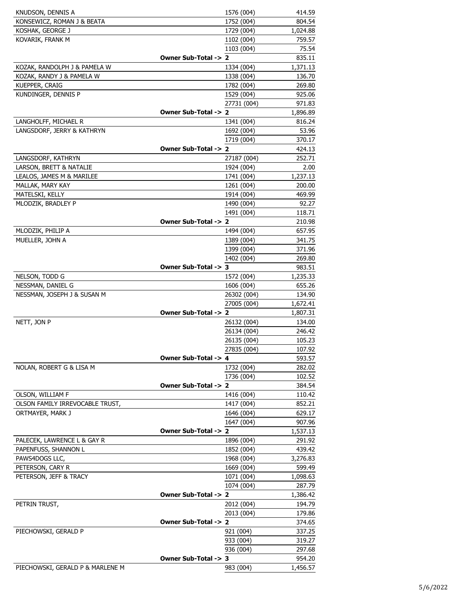| KNUDSON, DENNIS A                                   |                      | 1576 (004)               | 414.59           |
|-----------------------------------------------------|----------------------|--------------------------|------------------|
| KONSEWICZ, ROMAN J & BEATA                          |                      | 1752 (004)               | 804.54           |
| KOSHAK, GEORGE J                                    |                      | 1729 (004)               | 1,024.88         |
| KOVARIK, FRANK M                                    |                      | 1102 (004)               | 759.57           |
|                                                     |                      | 1103 (004)               | 75.54            |
|                                                     | Owner Sub-Total -> 2 |                          | 835.11           |
| KOZAK, RANDOLPH J & PAMELA W                        |                      | 1334 (004)               | 1,371.13         |
| KOZAK, RANDY J & PAMELA W                           |                      | 1338 (004)               | 136.70           |
| KUEPPER, CRAIG                                      |                      | 1782 (004)               | 269.80           |
| KUNDINGER, DENNIS P                                 |                      | 1529 (004)               | 925.06           |
|                                                     |                      | 27731 (004)              | 971.83           |
|                                                     | Owner Sub-Total -> 2 |                          | 1,896.89         |
| LANGHOLFF, MICHAEL R                                |                      | 1341 (004)               | 816.24           |
| LANGSDORF, JERRY & KATHRYN                          |                      | 1692 (004)               | 53.96            |
|                                                     |                      | 1719 (004)               | 370.17           |
|                                                     | Owner Sub-Total -> 2 |                          | 424.13           |
| LANGSDORF, KATHRYN                                  |                      | 27187 (004)              | 252.71           |
| LARSON, BRETT & NATALIE                             |                      | 1924 (004)               | 2.00             |
| LEALOS, JAMES M & MARILEE                           |                      | 1741 (004)               | 1,237.13         |
| MALLAK, MARY KAY                                    |                      | 1261 (004)               | 200.00           |
| MATELSKI, KELLY                                     |                      | 1914 (004)               | 469.99           |
| MLODZIK, BRADLEY P                                  |                      | 1490 (004)               | 92.27            |
|                                                     |                      | 1491 (004)               | 118.71           |
|                                                     | Owner Sub-Total -> 2 |                          | 210.98           |
| MLODZIK, PHILIP A                                   |                      | 1494 (004)               | 657.95           |
| MUELLER, JOHN A                                     |                      | 1389 (004)               | 341.75           |
|                                                     |                      | 1399 (004)               | 371.96           |
|                                                     |                      | 1402 (004)               | 269.80           |
|                                                     | Owner Sub-Total -> 3 |                          | 983.51           |
| NELSON, TODD G                                      |                      | 1572 (004)               | 1,235.33         |
| NESSMAN, DANIEL G                                   |                      | 1606 (004)               | 655.26           |
| NESSMAN, JOSEPH J & SUSAN M                         |                      | 26302 (004)              | 134.90           |
|                                                     |                      | 27005 (004)              | 1,672.41         |
|                                                     | Owner Sub-Total -> 2 |                          | 1,807.31         |
| NETT, JON P                                         |                      | 26132 (004)              | 134.00           |
|                                                     |                      | 26134 (004)              | 246.42           |
|                                                     |                      | 26135 (004)              | 105.23           |
|                                                     |                      | 27835 (004)              | 107.92           |
|                                                     | Owner Sub-Total -> 4 |                          | 593.57           |
| NOLAN, ROBERT G & LISA M                            |                      | 1732 (004)               | 282.02           |
|                                                     | Owner Sub-Total -> 2 | 1736 (004)               | 102.52           |
|                                                     |                      |                          | 384.54           |
| OLSON, WILLIAM F                                    |                      | 1416 (004)               | 110.42           |
| OLSON FAMILY IRREVOCABLE TRUST,<br>ORTMAYER, MARK J |                      | 1417 (004)<br>1646 (004) | 852.21<br>629.17 |
|                                                     |                      | 1647 (004)               | 907.96           |
|                                                     | Owner Sub-Total -> 2 |                          | 1,537.13         |
| PALECEK, LAWRENCE L & GAY R                         |                      | 1896 (004)               | 291.92           |
| PAPENFUSS, SHANNON L                                |                      | 1852 (004)               | 439.42           |
| PAWS4DOGS LLC,                                      |                      | 1968 (004)               | 3,276.83         |
| PETERSON, CARY R                                    |                      | 1669 (004)               | 599.49           |
| PETERSON, JEFF & TRACY                              |                      | 1071 (004)               | 1,098.63         |
|                                                     |                      | 1074 (004)               | 287.79           |
|                                                     | Owner Sub-Total -> 2 |                          | 1,386.42         |
| PETRIN TRUST,                                       |                      | 2012 (004)               | 194.79           |
|                                                     |                      | 2013 (004)               | 179.86           |
|                                                     | Owner Sub-Total -> 2 |                          | 374.65           |
| PIECHOWSKI, GERALD P                                |                      | 921 (004)                | 337.25           |
|                                                     |                      | 933 (004)                | 319.27           |
|                                                     |                      | 936 (004)                | 297.68           |
|                                                     | Owner Sub-Total -> 3 |                          | 954.20           |
| PIECHOWSKI, GERALD P & MARLENE M                    |                      | 983 (004)                | 1,456.57         |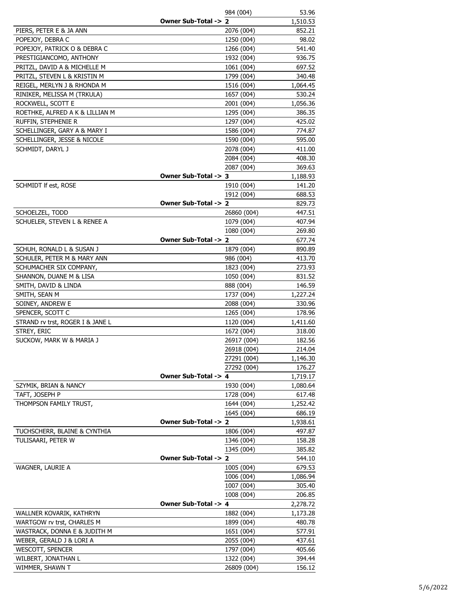|                                  |                      | 984 (004)                | 53.96              |
|----------------------------------|----------------------|--------------------------|--------------------|
|                                  | Owner Sub-Total -> 2 |                          | 1,510.53           |
| PIERS, PETER E & JA ANN          |                      | 2076 (004)               | 852.21             |
| POPEJOY, DEBRA C                 |                      | 1250 (004)               | 98.02              |
| POPEJOY, PATRICK O & DEBRA C     |                      | 1266 (004)               | 541.40             |
| PRESTIGIANCOMO, ANTHONY          |                      | 1932 (004)               | 936.75             |
| PRITZL, DAVID A & MICHELLE M     |                      | 1061 (004)               | 697.52             |
| PRITZL, STEVEN L & KRISTIN M     |                      | 1799 (004)               | 340.48             |
| REIGEL, MERLYN J & RHONDA M      |                      | 1516 (004)               | 1,064.45           |
| RINIKER, MELISSA M (TRKULA)      |                      | 1657 (004)               | 530.24             |
| ROCKWELL, SCOTT E                |                      | 2001 (004)               | 1,056.36           |
| ROETHKE, ALFRED A K & LILLIAN M  |                      | 1295 (004)               | 386.35             |
| RUFFIN, STEPHENIE R              |                      | 1297 (004)               | 425.02             |
| SCHELLINGER, GARY A & MARY I     |                      | 1586 (004)               | 774.87             |
| SCHELLINGER, JESSE & NICOLE      |                      | 1590 (004)               | 595.00             |
| SCHMIDT, DARYL J                 |                      | 2078 (004)               | 411.00             |
|                                  |                      | 2084 (004)               | 408.30             |
|                                  |                      | 2087 (004)               | 369.63             |
|                                  | Owner Sub-Total -> 3 |                          | 1,188.93           |
| SCHMIDT If est, ROSE             |                      | 1910 (004)               | 141.20             |
|                                  |                      | 1912 (004)               | 688.53             |
|                                  | Owner Sub-Total -> 2 |                          | 829.73             |
| SCHOELZEL, TODD                  |                      | 26860 (004)              | 447.51             |
| SCHUELER, STEVEN L & RENEE A     |                      | 1079 (004)               | 407.94             |
|                                  |                      | 1080 (004)               | 269.80             |
|                                  | Owner Sub-Total -> 2 |                          | 677.74             |
| SCHUH, RONALD L & SUSAN J        |                      | 1879 (004)               | 890.89             |
| SCHULER, PETER M & MARY ANN      |                      | 986 (004)                | 413.70             |
| SCHUMACHER SIX COMPANY,          |                      | 1823 (004)               | 273.93             |
| SHANNON, DUANE M & LISA          |                      | 1050 (004)               | 831.52             |
| SMITH, DAVID & LINDA             |                      | 888 (004)                | 146.59             |
| SMITH, SEAN M                    |                      | 1737 (004)               | 1,227.24           |
| SOINEY, ANDREW E                 |                      | 2088 (004)               | 330.96             |
| SPENCER, SCOTT C                 |                      | 1265 (004)               | 178.96             |
| STRAND rv trst, ROGER I & JANE L |                      | 1120 (004)               | 1,411.60           |
| STREY, ERIC                      |                      | 1672 (004)               | 318.00             |
| SUCKOW, MARK W & MARIA J         |                      | 26917 (004)              | 182.56             |
|                                  |                      | 26918 (004)              | 214.04             |
|                                  |                      | 27291 (004)              | 1,146.30           |
|                                  |                      | 27292 (004)              | 176.27             |
|                                  | Owner Sub-Total -> 4 |                          | 1,719.17           |
| SZYMIK, BRIAN & NANCY            |                      | 1930 (004)               | 1,080.64           |
| TAFT, JOSEPH P                   |                      | 1728 (004)               | 617.48             |
| THOMPSON FAMILY TRUST,           |                      | 1644 (004)               | 1,252.42           |
|                                  |                      | 1645 (004)               | 686.19             |
|                                  | Owner Sub-Total -> 2 |                          | 1,938.61           |
| TUCHSCHERR, BLAINE & CYNTHIA     |                      | 1806 (004)               | 497.87             |
| TULISAARI, PETER W               |                      | 1346 (004)               | 158.28             |
|                                  | Owner Sub-Total -> 2 | 1345 (004)               | 385.82             |
| WAGNER, LAURIE A                 |                      |                          | 544.10<br>679.53   |
|                                  |                      | 1005 (004)<br>1006 (004) |                    |
|                                  |                      | 1007 (004)               | 1,086.94<br>305.40 |
|                                  |                      |                          |                    |
|                                  | Owner Sub-Total -> 4 | 1008 (004)               | 206.85<br>2,278.72 |
| WALLNER KOVARIK, KATHRYN         |                      | 1882 (004)               | 1,173.28           |
| WARTGOW rv trst, CHARLES M       |                      | 1899 (004)               | 480.78             |
| WASTRACK, DONNA E & JUDITH M     |                      | 1651 (004)               | 577.91             |
| WEBER, GERALD J & LORI A         |                      | 2055 (004)               | 437.61             |
| <b>WESCOTT, SPENCER</b>          |                      | 1797 (004)               | 405.66             |
| WILBERT, JONATHAN L              |                      | 1322 (004)               | 394.44             |
| WIMMER, SHAWN T                  |                      | 26809 (004)              | 156.12             |
|                                  |                      |                          |                    |